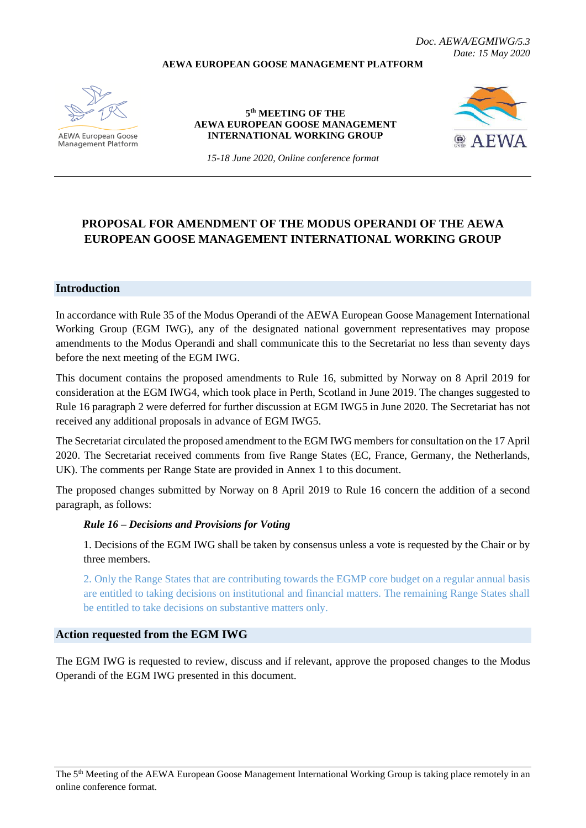#### **AEWA EUROPEAN GOOSE MANAGEMENT PLATFORM**

AEWA European Goose Management Platform

#### **5 th MEETING OF THE AEWA EUROPEAN GOOSE MANAGEMENT INTERNATIONAL WORKING GROUP**



*15-18 June 2020, Online conference format*

# **PROPOSAL FOR AMENDMENT OF THE MODUS OPERANDI OF THE AEWA EUROPEAN GOOSE MANAGEMENT INTERNATIONAL WORKING GROUP**

# **Introduction**

In accordance with Rule 35 of the Modus Operandi of the AEWA European Goose Management International Working Group (EGM IWG), any of the designated national government representatives may propose amendments to the Modus Operandi and shall communicate this to the Secretariat no less than seventy days before the next meeting of the EGM IWG.

This document contains the proposed amendments to Rule 16, submitted by Norway on 8 April 2019 for consideration at the EGM IWG4, which took place in Perth, Scotland in June 2019. The changes suggested to Rule 16 paragraph 2 were deferred for further discussion at EGM IWG5 in June 2020. The Secretariat has not received any additional proposals in advance of EGM IWG5.

The Secretariat circulated the proposed amendment to the EGM IWG members for consultation on the 17 April 2020. The Secretariat received comments from five Range States (EC, France, Germany, the Netherlands, UK). The comments per Range State are provided in Annex 1 to this document.

The proposed changes submitted by Norway on 8 April 2019 to Rule 16 concern the addition of a second paragraph, as follows:

#### *Rule 16 – Decisions and Provisions for Voting*

1. Decisions of the EGM IWG shall be taken by consensus unless a vote is requested by the Chair or by three members.

2. Only the Range States that are contributing towards the EGMP core budget on a regular annual basis are entitled to taking decisions on institutional and financial matters. The remaining Range States shall be entitled to take decisions on substantive matters only.

#### **Action requested from the EGM IWG**

The EGM IWG is requested to review, discuss and if relevant, approve the proposed changes to the Modus Operandi of the EGM IWG presented in this document.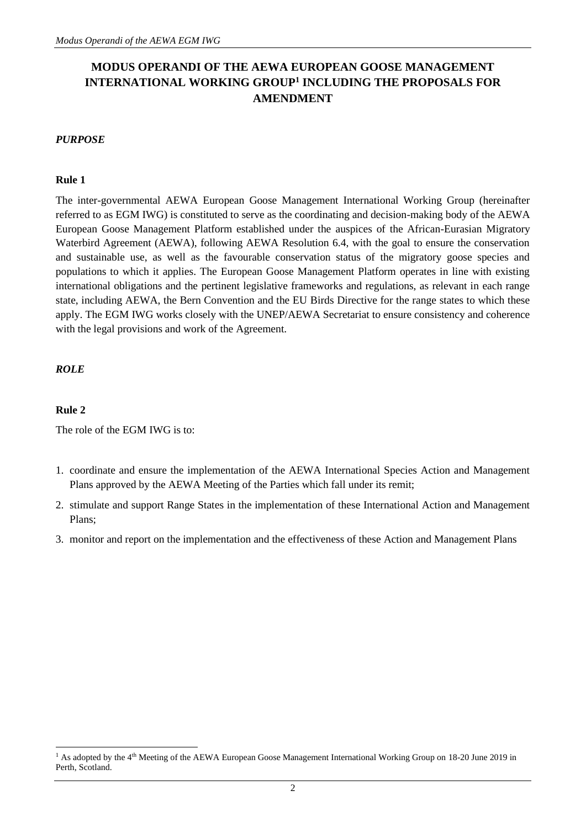# **MODUS OPERANDI OF THE AEWA EUROPEAN GOOSE MANAGEMENT**  INTERNATIONAL WORKING GROUP<sup>1</sup> INCLUDING THE PROPOSALS FOR **AMENDMENT**

# *PURPOSE*

# **Rule 1**

The inter-governmental AEWA European Goose Management International Working Group (hereinafter referred to as EGM IWG) is constituted to serve as the coordinating and decision-making body of the AEWA European Goose Management Platform established under the auspices of the African-Eurasian Migratory Waterbird Agreement (AEWA), following AEWA Resolution 6.4, with the goal to ensure the conservation and sustainable use, as well as the favourable conservation status of the migratory goose species and populations to which it applies. The European Goose Management Platform operates in line with existing international obligations and the pertinent legislative frameworks and regulations, as relevant in each range state, including AEWA, the Bern Convention and the EU Birds Directive for the range states to which these apply. The EGM IWG works closely with the UNEP/AEWA Secretariat to ensure consistency and coherence with the legal provisions and work of the Agreement.

# *ROLE*

# **Rule 2**

The role of the EGM IWG is to:

- 1. coordinate and ensure the implementation of the AEWA International Species Action and Management Plans approved by the AEWA Meeting of the Parties which fall under its remit;
- 2. stimulate and support Range States in the implementation of these International Action and Management Plans;
- 3. monitor and report on the implementation and the effectiveness of these Action and Management Plans

<sup>&</sup>lt;sup>1</sup> As adopted by the 4<sup>th</sup> Meeting of the AEWA European Goose Management International Working Group on 18-20 June 2019 in Perth, Scotland.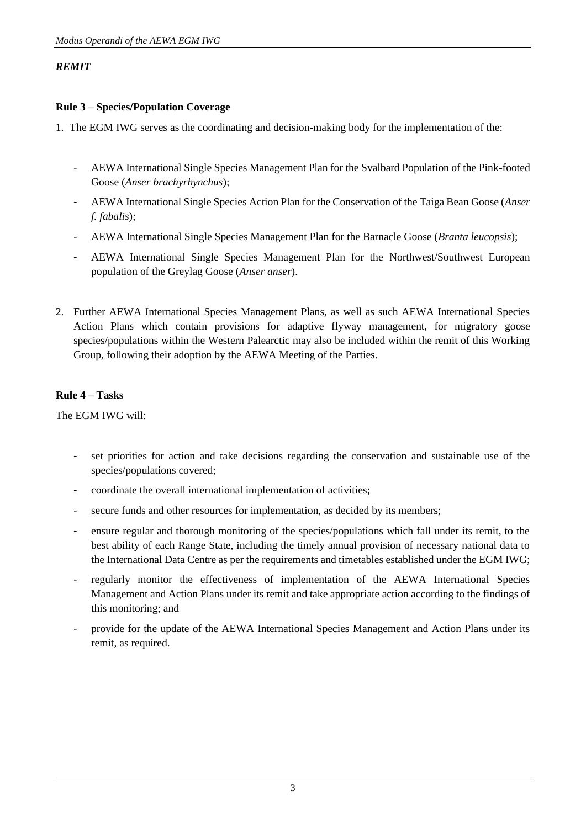# *REMIT*

# **Rule 3 – Species/Population Coverage**

- 1. The EGM IWG serves as the coordinating and decision-making body for the implementation of the:
	- AEWA International Single Species Management Plan for the Svalbard Population of the Pink-footed Goose (*Anser brachyrhynchus*);
	- AEWA International Single Species Action Plan for the Conservation of the Taiga Bean Goose (*Anser f. fabalis*);
	- AEWA International Single Species Management Plan for the Barnacle Goose (*Branta leucopsis*);
	- AEWA International Single Species Management Plan for the Northwest/Southwest European population of the Greylag Goose (*Anser anser*).
- 2. Further AEWA International Species Management Plans, as well as such AEWA International Species Action Plans which contain provisions for adaptive flyway management, for migratory goose species/populations within the Western Palearctic may also be included within the remit of this Working Group, following their adoption by the AEWA Meeting of the Parties.

# **Rule 4 – Tasks**

The EGM IWG will:

- set priorities for action and take decisions regarding the conservation and sustainable use of the species/populations covered;
- coordinate the overall international implementation of activities;
- secure funds and other resources for implementation, as decided by its members;
- ensure regular and thorough monitoring of the species/populations which fall under its remit, to the best ability of each Range State, including the timely annual provision of necessary national data to the International Data Centre as per the requirements and timetables established under the EGM IWG;
- regularly monitor the effectiveness of implementation of the AEWA International Species Management and Action Plans under its remit and take appropriate action according to the findings of this monitoring; and
- provide for the update of the AEWA International Species Management and Action Plans under its remit, as required.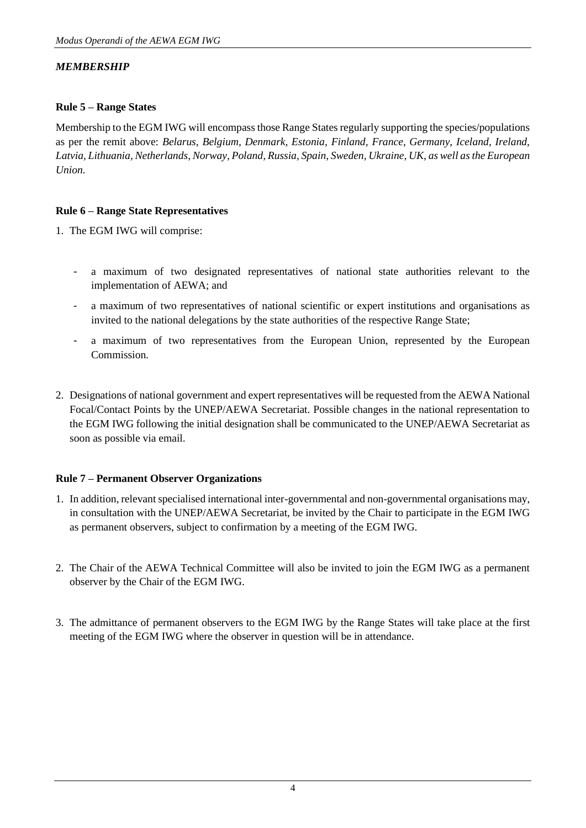# *MEMBERSHIP*

#### **Rule 5 – Range States**

Membership to the EGM IWG will encompass those Range States regularly supporting the species/populations as per the remit above: *Belarus, Belgium, Denmark, Estonia, Finland, France, Germany, Iceland, Ireland, Latvia, Lithuania, Netherlands, Norway, Poland, Russia, Spain, Sweden, Ukraine, UK, as well as the European Union.*

# **Rule 6 – Range State Representatives**

1. The EGM IWG will comprise:

- a maximum of two designated representatives of national state authorities relevant to the implementation of AEWA; and
- a maximum of two representatives of national scientific or expert institutions and organisations as invited to the national delegations by the state authorities of the respective Range State;
- a maximum of two representatives from the European Union, represented by the European Commission.
- 2. Designations of national government and expert representatives will be requested from the AEWA National Focal/Contact Points by the UNEP/AEWA Secretariat. Possible changes in the national representation to the EGM IWG following the initial designation shall be communicated to the UNEP/AEWA Secretariat as soon as possible via email.

#### **Rule 7 – Permanent Observer Organizations**

- 1. In addition, relevant specialised international inter-governmental and non-governmental organisations may, in consultation with the UNEP/AEWA Secretariat, be invited by the Chair to participate in the EGM IWG as permanent observers, subject to confirmation by a meeting of the EGM IWG.
- 2. The Chair of the AEWA Technical Committee will also be invited to join the EGM IWG as a permanent observer by the Chair of the EGM IWG.
- 3. The admittance of permanent observers to the EGM IWG by the Range States will take place at the first meeting of the EGM IWG where the observer in question will be in attendance.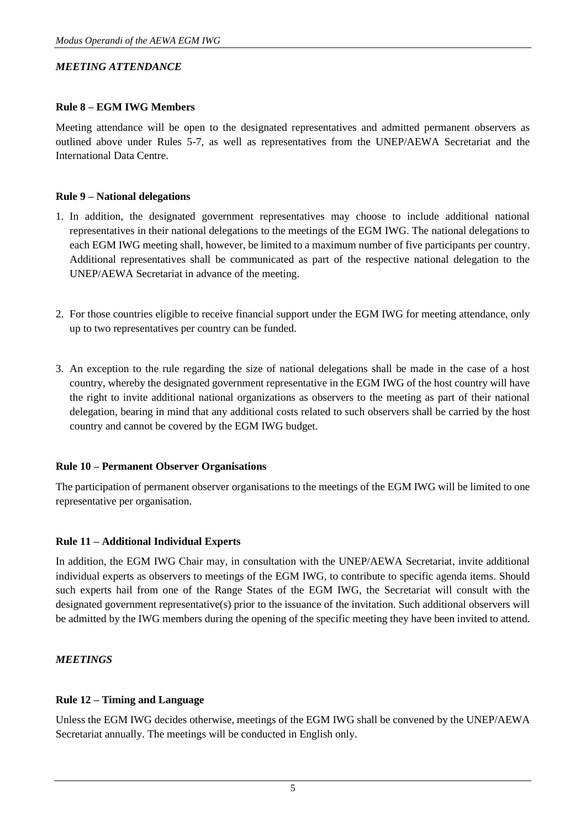# *MEETING ATTENDANCE*

#### **Rule 8 – EGM IWG Members**

Meeting attendance will be open to the designated representatives and admitted permanent observers as outlined above under Rules 5-7, as well as representatives from the UNEP/AEWA Secretariat and the International Data Centre.

#### **Rule 9 – National delegations**

- 1. In addition, the designated government representatives may choose to include additional national representatives in their national delegations to the meetings of the EGM IWG. The national delegations to each EGM IWG meeting shall, however, be limited to a maximum number of five participants per country. Additional representatives shall be communicated as part of the respective national delegation to the UNEP/AEWA Secretariat in advance of the meeting.
- 2. For those countries eligible to receive financial support under the EGM IWG for meeting attendance, only up to two representatives per country can be funded.
- 3. An exception to the rule regarding the size of national delegations shall be made in the case of a host country, whereby the designated government representative in the EGM IWG of the host country will have the right to invite additional national organizations as observers to the meeting as part of their national delegation, bearing in mind that any additional costs related to such observers shall be carried by the host country and cannot be covered by the EGM IWG budget.

#### **Rule 10 – Permanent Observer Organisations**

The participation of permanent observer organisations to the meetings of the EGM IWG will be limited to one representative per organisation.

#### **Rule 11 – Additional Individual Experts**

In addition, the EGM IWG Chair may, in consultation with the UNEP/AEWA Secretariat, invite additional individual experts as observers to meetings of the EGM IWG, to contribute to specific agenda items. Should such experts hail from one of the Range States of the EGM IWG, the Secretariat will consult with the designated government representative(s) prior to the issuance of the invitation. Such additional observers will be admitted by the IWG members during the opening of the specific meeting they have been invited to attend.

#### *MEETINGS*

#### **Rule 12 – Timing and Language**

Unless the EGM IWG decides otherwise, meetings of the EGM IWG shall be convened by the UNEP/AEWA Secretariat annually. The meetings will be conducted in English only.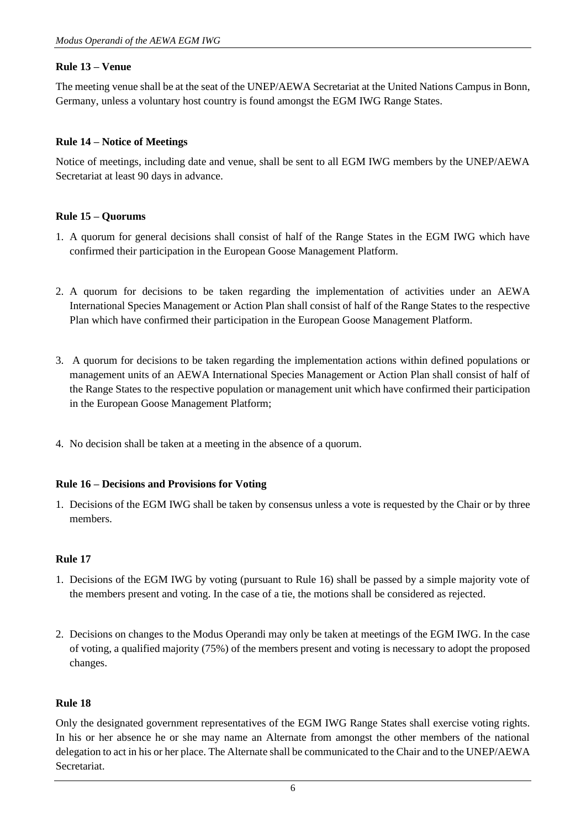# **Rule 13 – Venue**

The meeting venue shall be at the seat of the UNEP/AEWA Secretariat at the United Nations Campus in Bonn, Germany, unless a voluntary host country is found amongst the EGM IWG Range States.

# **Rule 14 – Notice of Meetings**

Notice of meetings, including date and venue, shall be sent to all EGM IWG members by the UNEP/AEWA Secretariat at least 90 days in advance.

# **Rule 15 – Quorums**

- 1. A quorum for general decisions shall consist of half of the Range States in the EGM IWG which have confirmed their participation in the European Goose Management Platform.
- 2. A quorum for decisions to be taken regarding the implementation of activities under an AEWA International Species Management or Action Plan shall consist of half of the Range States to the respective Plan which have confirmed their participation in the European Goose Management Platform.
- 3. A quorum for decisions to be taken regarding the implementation actions within defined populations or management units of an AEWA International Species Management or Action Plan shall consist of half of the Range States to the respective population or management unit which have confirmed their participation in the European Goose Management Platform;
- 4. No decision shall be taken at a meeting in the absence of a quorum.

#### **Rule 16 – Decisions and Provisions for Voting**

1. Decisions of the EGM IWG shall be taken by consensus unless a vote is requested by the Chair or by three members.

#### **Rule 17**

- 1. Decisions of the EGM IWG by voting (pursuant to Rule 16) shall be passed by a simple majority vote of the members present and voting. In the case of a tie, the motions shall be considered as rejected.
- 2. Decisions on changes to the Modus Operandi may only be taken at meetings of the EGM IWG. In the case of voting, a qualified majority (75%) of the members present and voting is necessary to adopt the proposed changes.

#### **Rule 18**

Only the designated government representatives of the EGM IWG Range States shall exercise voting rights. In his or her absence he or she may name an Alternate from amongst the other members of the national delegation to act in his or her place. The Alternate shall be communicated to the Chair and to the UNEP/AEWA Secretariat.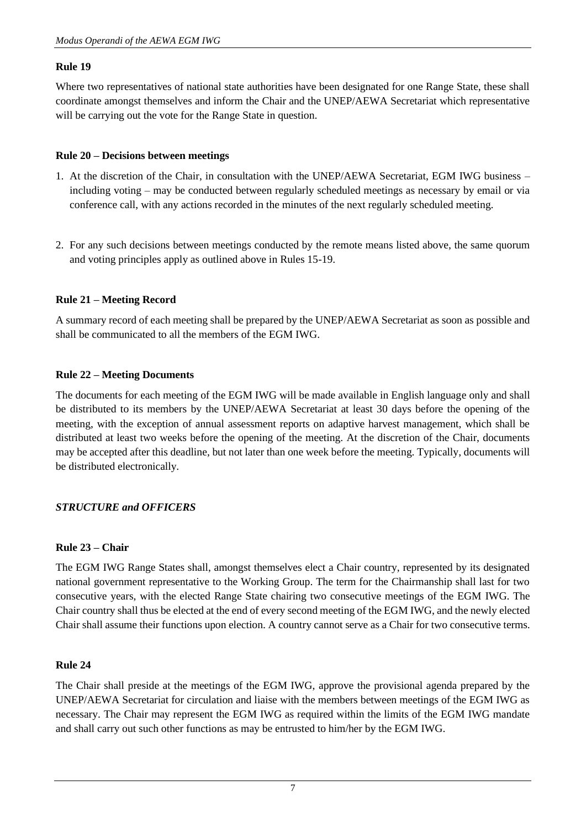# **Rule 19**

Where two representatives of national state authorities have been designated for one Range State, these shall coordinate amongst themselves and inform the Chair and the UNEP/AEWA Secretariat which representative will be carrying out the vote for the Range State in question.

# **Rule 20 – Decisions between meetings**

- 1. At the discretion of the Chair, in consultation with the UNEP/AEWA Secretariat, EGM IWG business including voting – may be conducted between regularly scheduled meetings as necessary by email or via conference call, with any actions recorded in the minutes of the next regularly scheduled meeting.
- 2. For any such decisions between meetings conducted by the remote means listed above, the same quorum and voting principles apply as outlined above in Rules 15-19.

# **Rule 21 – Meeting Record**

A summary record of each meeting shall be prepared by the UNEP/AEWA Secretariat as soon as possible and shall be communicated to all the members of the EGM IWG.

# **Rule 22 – Meeting Documents**

The documents for each meeting of the EGM IWG will be made available in English language only and shall be distributed to its members by the UNEP/AEWA Secretariat at least 30 days before the opening of the meeting, with the exception of annual assessment reports on adaptive harvest management, which shall be distributed at least two weeks before the opening of the meeting. At the discretion of the Chair, documents may be accepted after this deadline, but not later than one week before the meeting. Typically, documents will be distributed electronically.

# *STRUCTURE and OFFICERS*

#### **Rule 23 – Chair**

The EGM IWG Range States shall, amongst themselves elect a Chair country, represented by its designated national government representative to the Working Group. The term for the Chairmanship shall last for two consecutive years, with the elected Range State chairing two consecutive meetings of the EGM IWG. The Chair country shall thus be elected at the end of every second meeting of the EGM IWG, and the newly elected Chair shall assume their functions upon election. A country cannot serve as a Chair for two consecutive terms.

#### **Rule 24**

The Chair shall preside at the meetings of the EGM IWG, approve the provisional agenda prepared by the UNEP/AEWA Secretariat for circulation and liaise with the members between meetings of the EGM IWG as necessary. The Chair may represent the EGM IWG as required within the limits of the EGM IWG mandate and shall carry out such other functions as may be entrusted to him/her by the EGM IWG.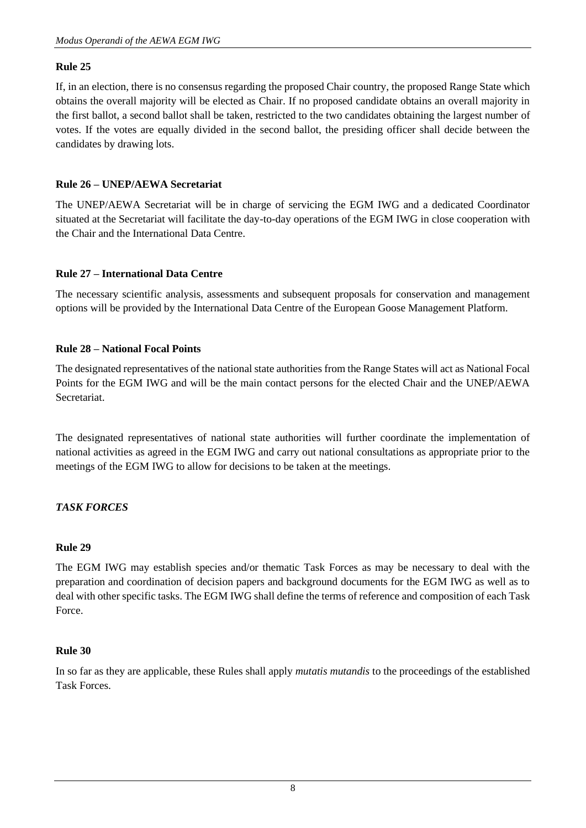# **Rule 25**

If, in an election, there is no consensus regarding the proposed Chair country, the proposed Range State which obtains the overall majority will be elected as Chair. If no proposed candidate obtains an overall majority in the first ballot, a second ballot shall be taken, restricted to the two candidates obtaining the largest number of votes. If the votes are equally divided in the second ballot, the presiding officer shall decide between the candidates by drawing lots.

# **Rule 26 – UNEP/AEWA Secretariat**

The UNEP/AEWA Secretariat will be in charge of servicing the EGM IWG and a dedicated Coordinator situated at the Secretariat will facilitate the day-to-day operations of the EGM IWG in close cooperation with the Chair and the International Data Centre.

#### **Rule 27 – International Data Centre**

The necessary scientific analysis, assessments and subsequent proposals for conservation and management options will be provided by the International Data Centre of the European Goose Management Platform.

#### **Rule 28 – National Focal Points**

The designated representatives of the national state authorities from the Range States will act as National Focal Points for the EGM IWG and will be the main contact persons for the elected Chair and the UNEP/AEWA Secretariat.

The designated representatives of national state authorities will further coordinate the implementation of national activities as agreed in the EGM IWG and carry out national consultations as appropriate prior to the meetings of the EGM IWG to allow for decisions to be taken at the meetings.

# *TASK FORCES*

#### **Rule 29**

The EGM IWG may establish species and/or thematic Task Forces as may be necessary to deal with the preparation and coordination of decision papers and background documents for the EGM IWG as well as to deal with other specific tasks. The EGM IWG shall define the terms of reference and composition of each Task Force.

#### **Rule 30**

In so far as they are applicable, these Rules shall apply *mutatis mutandis* to the proceedings of the established Task Forces.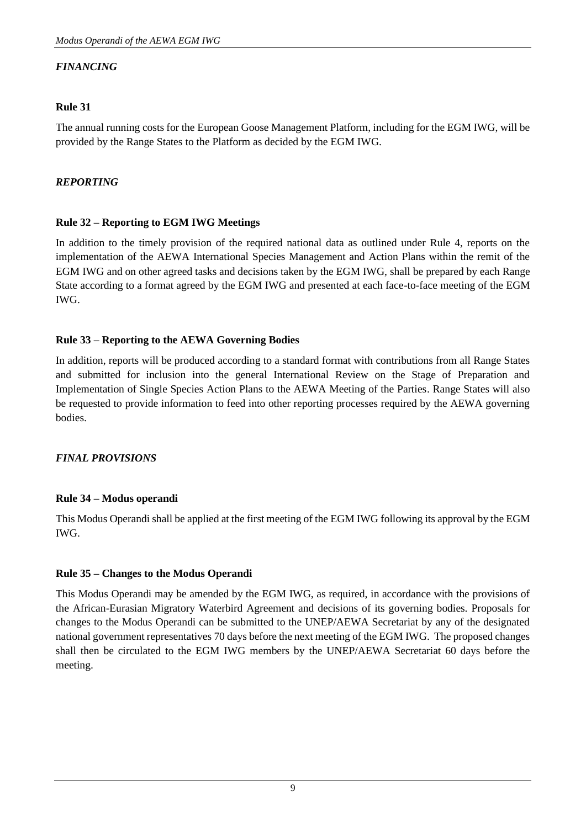# *FINANCING*

# **Rule 31**

The annual running costs for the European Goose Management Platform, including for the EGM IWG, will be provided by the Range States to the Platform as decided by the EGM IWG.

# *REPORTING*

# **Rule 32 – Reporting to EGM IWG Meetings**

In addition to the timely provision of the required national data as outlined under Rule 4, reports on the implementation of the AEWA International Species Management and Action Plans within the remit of the EGM IWG and on other agreed tasks and decisions taken by the EGM IWG, shall be prepared by each Range State according to a format agreed by the EGM IWG and presented at each face-to-face meeting of the EGM IWG.

# **Rule 33 – Reporting to the AEWA Governing Bodies**

In addition, reports will be produced according to a standard format with contributions from all Range States and submitted for inclusion into the general International Review on the Stage of Preparation and Implementation of Single Species Action Plans to the AEWA Meeting of the Parties. Range States will also be requested to provide information to feed into other reporting processes required by the AEWA governing **bodies** 

#### *FINAL PROVISIONS*

#### **Rule 34 – Modus operandi**

This Modus Operandi shall be applied at the first meeting of the EGM IWG following its approval by the EGM IWG.

#### **Rule 35 – Changes to the Modus Operandi**

This Modus Operandi may be amended by the EGM IWG, as required, in accordance with the provisions of the African-Eurasian Migratory Waterbird Agreement and decisions of its governing bodies. Proposals for changes to the Modus Operandi can be submitted to the UNEP/AEWA Secretariat by any of the designated national government representatives 70 days before the next meeting of the EGM IWG. The proposed changes shall then be circulated to the EGM IWG members by the UNEP/AEWA Secretariat 60 days before the meeting.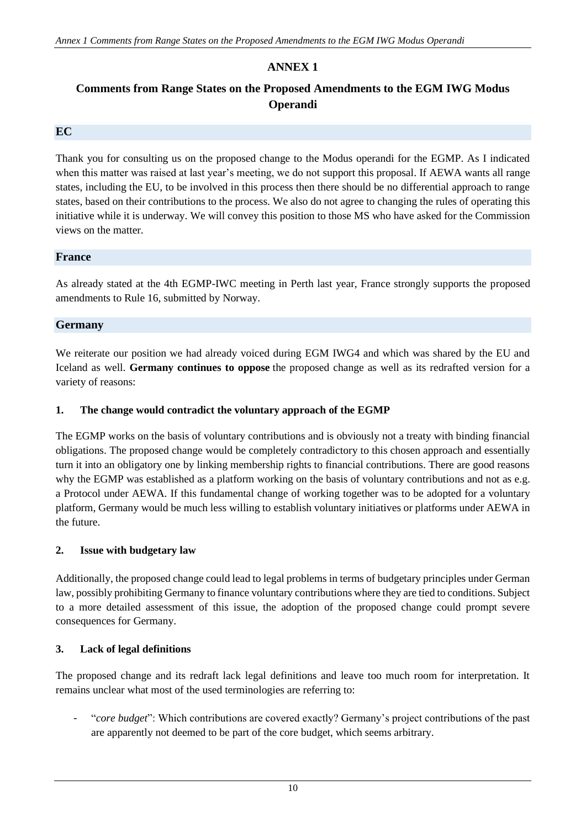# **ANNEX 1**

# **Comments from Range States on the Proposed Amendments to the EGM IWG Modus Operandi**

#### **EC**

Thank you for consulting us on the proposed change to the Modus operandi for the EGMP. As I indicated when this matter was raised at last year's meeting, we do not support this proposal. If AEWA wants all range states, including the EU, to be involved in this process then there should be no differential approach to range states, based on their contributions to the process. We also do not agree to changing the rules of operating this initiative while it is underway. We will convey this position to those MS who have asked for the Commission views on the matter.

#### **France**

As already stated at the 4th EGMP-IWC meeting in Perth last year, France strongly supports the proposed amendments to Rule 16, submitted by Norway.

#### **Germany**

We reiterate our position we had already voiced during EGM IWG4 and which was shared by the EU and Iceland as well. **Germany continues to oppose** the proposed change as well as its redrafted version for a variety of reasons:

#### **1. The change would contradict the voluntary approach of the EGMP**

The EGMP works on the basis of voluntary contributions and is obviously not a treaty with binding financial obligations. The proposed change would be completely contradictory to this chosen approach and essentially turn it into an obligatory one by linking membership rights to financial contributions. There are good reasons why the EGMP was established as a platform working on the basis of voluntary contributions and not as e.g. a Protocol under AEWA. If this fundamental change of working together was to be adopted for a voluntary platform, Germany would be much less willing to establish voluntary initiatives or platforms under AEWA in the future.

#### **2. Issue with budgetary law**

Additionally, the proposed change could lead to legal problems in terms of budgetary principles under German law, possibly prohibiting Germany to finance voluntary contributions where they are tied to conditions. Subject to a more detailed assessment of this issue, the adoption of the proposed change could prompt severe consequences for Germany.

#### **3. Lack of legal definitions**

The proposed change and its redraft lack legal definitions and leave too much room for interpretation. It remains unclear what most of the used terminologies are referring to:

- "*core budget*": Which contributions are covered exactly? Germany's project contributions of the past are apparently not deemed to be part of the core budget, which seems arbitrary.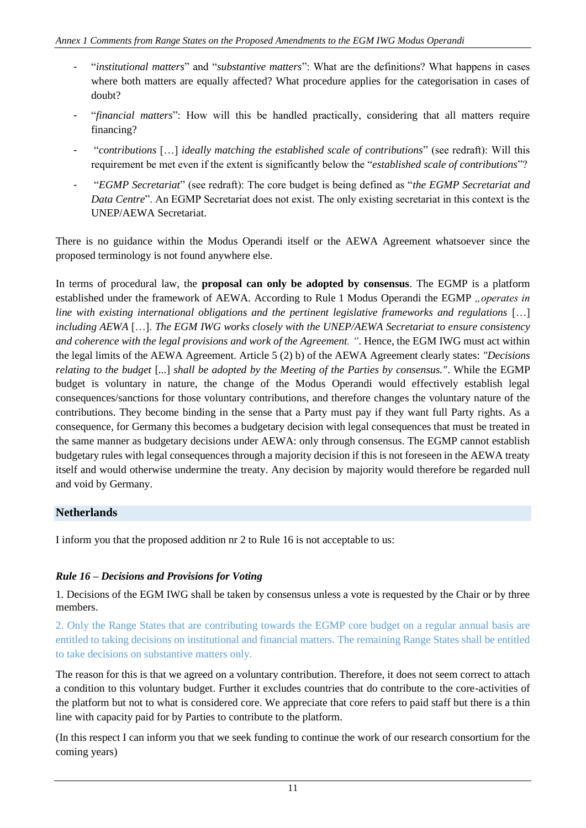- "*institutional matters*" and "*substantive matters*": What are the definitions? What happens in cases where both matters are equally affected? What procedure applies for the categorisation in cases of doubt?
- "*financial matters*": How will this be handled practically, considering that all matters require financing?
- "*contributions* […] *ideally matching the established scale of contributions*" (see redraft): Will this requirement be met even if the extent is significantly below the "*established scale of contributions*"?
- "*EGMP Secretariat*" (see redraft): The core budget is being defined as "*the EGMP Secretariat and Data Centre*". An EGMP Secretariat does not exist. The only existing secretariat in this context is the UNEP/AEWA Secretariat.

There is no guidance within the Modus Operandi itself or the AEWA Agreement whatsoever since the proposed terminology is not found anywhere else.

In terms of procedural law, the **proposal can only be adopted by consensus**. The EGMP is a platform established under the framework of AEWA. According to Rule 1 Modus Operandi the EGMP "operates in *line with existing international obligations and the pertinent legislative frameworks and regulations* […] *including AEWA* […]. *The EGM IWG works closely with the UNEP/AEWA Secretariat to ensure consistency and coherence with the legal provisions and work of the Agreement. "*. Hence, the EGM IWG must act within the legal limits of the AEWA Agreement. Article 5 (2) b) of the AEWA Agreement clearly states: *"Decisions relating to the budget* [*...*] *shall be adopted by the Meeting of the Parties by consensus."*. While the EGMP budget is voluntary in nature, the change of the Modus Operandi would effectively establish legal consequences/sanctions for those voluntary contributions, and therefore changes the voluntary nature of the contributions. They become binding in the sense that a Party must pay if they want full Party rights. As a consequence, for Germany this becomes a budgetary decision with legal consequences that must be treated in the same manner as budgetary decisions under AEWA: only through consensus. The EGMP cannot establish budgetary rules with legal consequences through a majority decision if this is not foreseen in the AEWA treaty itself and would otherwise undermine the treaty. Any decision by majority would therefore be regarded null and void by Germany.

# **Netherlands**

I inform you that the proposed addition nr 2 to Rule 16 is not acceptable to us:

# *Rule 16 – Decisions and Provisions for Voting*

1. Decisions of the EGM IWG shall be taken by consensus unless a vote is requested by the Chair or by three members.

2. Only the Range States that are contributing towards the EGMP core budget on a regular annual basis are entitled to taking decisions on institutional and financial matters. The remaining Range States shall be entitled to take decisions on substantive matters only.

The reason for this is that we agreed on a voluntary contribution. Therefore, it does not seem correct to attach a condition to this voluntary budget. Further it excludes countries that do contribute to the core-activities of the platform but not to what is considered core. We appreciate that core refers to paid staff but there is a thin line with capacity paid for by Parties to contribute to the platform.

(In this respect I can inform you that we seek funding to continue the work of our research consortium for the coming years)